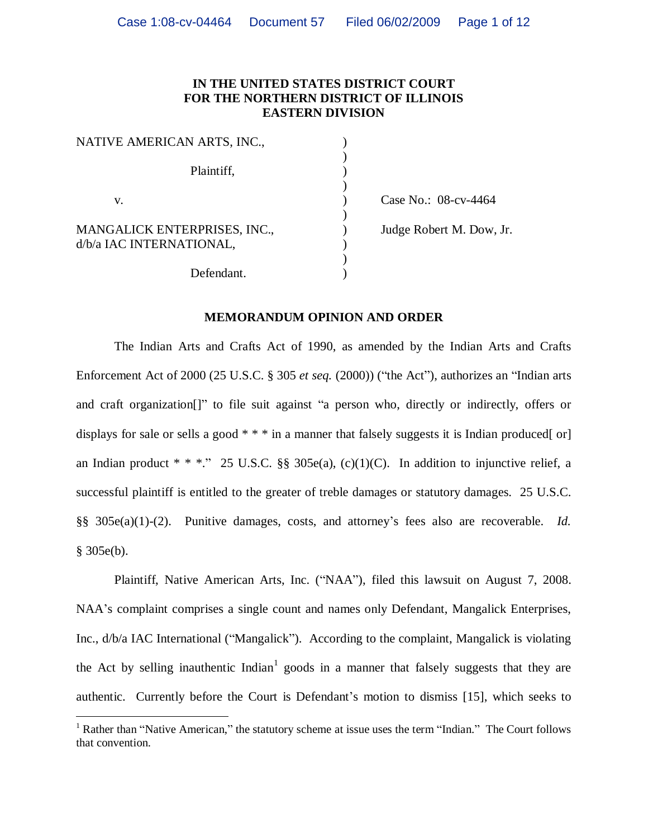## **IN THE UNITED STATES DISTRICT COURT FOR THE NORTHERN DISTRICT OF ILLINOIS EASTERN DIVISION**

)

)

)

)

| NATIVE AMERICAN ARTS, INC.,                              |  |
|----------------------------------------------------------|--|
| Plaintiff,                                               |  |
| V.                                                       |  |
| MANGALICK ENTERPRISES, INC.,<br>d/b/a IAC INTERNATIONAL, |  |
| Defendant.                                               |  |

) Case No.: 08-cv-4464 ) Judge Robert M. Dow, Jr.

#### **MEMORANDUM OPINION AND ORDER**

The Indian Arts and Crafts Act of 1990, as amended by the Indian Arts and Crafts Enforcement Act of 2000 (25 U.S.C. § 305 *et seq.* (2000)) ("the Act"), authorizes an "Indian arts and craft organization[]" to file suit against "a person who, directly or indirectly, offers or displays for sale or sells a good  $* * *$  in a manner that falsely suggests it is Indian produced[ or] an Indian product \* \* \*." 25 U.S.C. §§ 305e(a), (c)(1)(C). In addition to injunctive relief, a successful plaintiff is entitled to the greater of treble damages or statutory damages. 25 U.S.C. §§ 305e(a)(1)-(2). Punitive damages, costs, and attorney's fees also are recoverable. *Id.*  $§ 305e(b).$ 

Plaintiff, Native American Arts, Inc. ("NAA"), filed this lawsuit on August 7, 2008. NAA's complaint comprises a single count and names only Defendant, Mangalick Enterprises, Inc., d/b/a IAC International ("Mangalick"). According to the complaint, Mangalick is violating the Act by selling inauthentic  $Indian<sup>1</sup>$  goods in a manner that falsely suggests that they are authentic. Currently before the Court is Defendant's motion to dismiss [15], which seeks to

<sup>&</sup>lt;sup>1</sup> Rather than "Native American," the statutory scheme at issue uses the term "Indian." The Court follows that convention.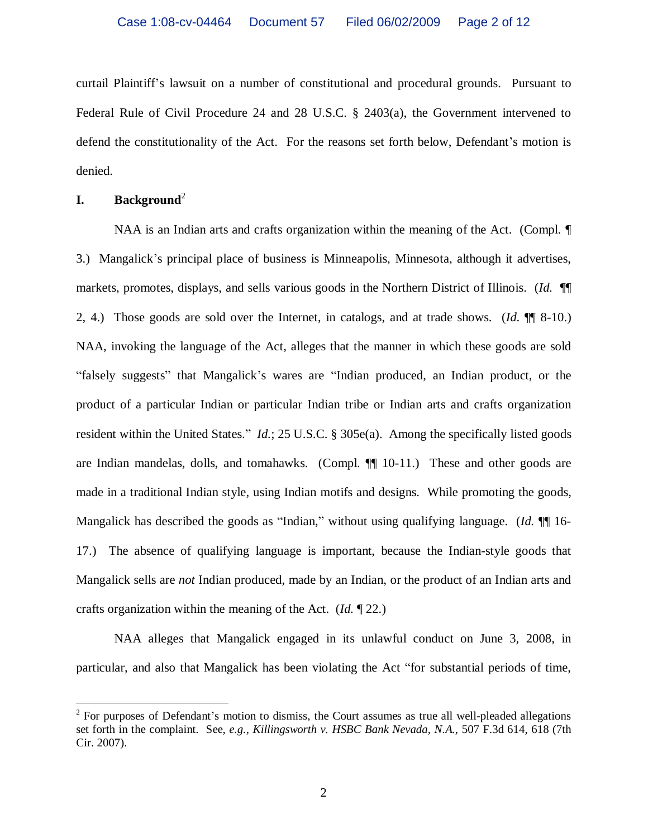curtail Plaintiff's lawsuit on a number of constitutional and procedural grounds. Pursuant to Federal Rule of Civil Procedure 24 and 28 U.S.C. § 2403(a), the Government intervened to defend the constitutionality of the Act. For the reasons set forth below, Defendant's motion is denied.

# **I. Background**<sup>2</sup>

NAA is an Indian arts and crafts organization within the meaning of the Act. (Compl.  $\P$ 3.) Mangalick's principal place of business is Minneapolis, Minnesota, although it advertises, markets, promotes, displays, and sells various goods in the Northern District of Illinois. (*Id*. ¶¶ 2, 4.) Those goods are sold over the Internet, in catalogs, and at trade shows. (*Id*. ¶¶ 8-10.) NAA, invoking the language of the Act, alleges that the manner in which these goods are sold "falsely suggests" that Mangalick's wares are "Indian produced, an Indian product, or the product of a particular Indian or particular Indian tribe or Indian arts and crafts organization resident within the United States." *Id.*; 25 U.S.C. § 305e(a). Among the specifically listed goods are Indian mandelas, dolls, and tomahawks. (Compl. ¶¶ 10-11.) These and other goods are made in a traditional Indian style, using Indian motifs and designs. While promoting the goods, Mangalick has described the goods as "Indian," without using qualifying language. (*Id.* ¶ 16-17.) The absence of qualifying language is important, because the Indian-style goods that Mangalick sells are *not* Indian produced, made by an Indian, or the product of an Indian arts and crafts organization within the meaning of the Act. (*Id.* ¶ 22.)

NAA alleges that Mangalick engaged in its unlawful conduct on June 3, 2008, in particular, and also that Mangalick has been violating the Act "for substantial periods of time,

 $2^2$  For purposes of Defendant's motion to dismiss, the Court assumes as true all well-pleaded allegations set forth in the complaint. See, *e.g.*, *Killingsworth v. HSBC Bank Nevada, N.A.*, 507 F.3d 614, 618 (7th Cir. 2007).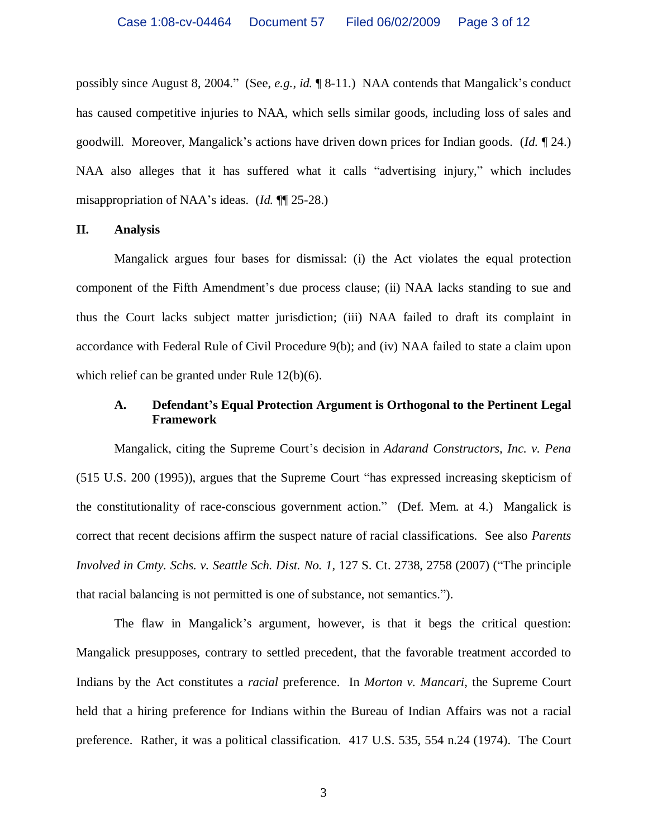possibly since August 8, 2004." (See, *e.g.*, *id.* ¶ 8-11.) NAA contends that Mangalick's conduct has caused competitive injuries to NAA, which sells similar goods, including loss of sales and goodwill. Moreover, Mangalick's actions have driven down prices for Indian goods. (*Id.* ¶ 24.) NAA also alleges that it has suffered what it calls "advertising injury," which includes misappropriation of NAA's ideas. (*Id.* ¶¶ 25-28.)

#### **II. Analysis**

Mangalick argues four bases for dismissal: (i) the Act violates the equal protection component of the Fifth Amendment's due process clause; (ii) NAA lacks standing to sue and thus the Court lacks subject matter jurisdiction; (iii) NAA failed to draft its complaint in accordance with Federal Rule of Civil Procedure 9(b); and (iv) NAA failed to state a claim upon which relief can be granted under Rule 12(b)(6).

## **A. Defendant's Equal Protection Argument is Orthogonal to the Pertinent Legal Framework**

Mangalick, citing the Supreme Court's decision in *Adarand Constructors, Inc. v. Pena* (515 U.S. 200 (1995)), argues that the Supreme Court "has expressed increasing skepticism of the constitutionality of race-conscious government action." (Def. Mem. at 4.) Mangalick is correct that recent decisions affirm the suspect nature of racial classifications. See also *Parents Involved in Cmty. Schs. v. Seattle Sch. Dist. No. 1*, 127 S. Ct. 2738, 2758 (2007) ("The principle that racial balancing is not permitted is one of substance, not semantics.").

The flaw in Mangalick's argument, however, is that it begs the critical question: Mangalick presupposes, contrary to settled precedent, that the favorable treatment accorded to Indians by the Act constitutes a *racial* preference. In *Morton v. Mancari*, the Supreme Court held that a hiring preference for Indians within the Bureau of Indian Affairs was not a racial preference. Rather, it was a political classification. 417 U.S. 535, 554 n.24 (1974). The Court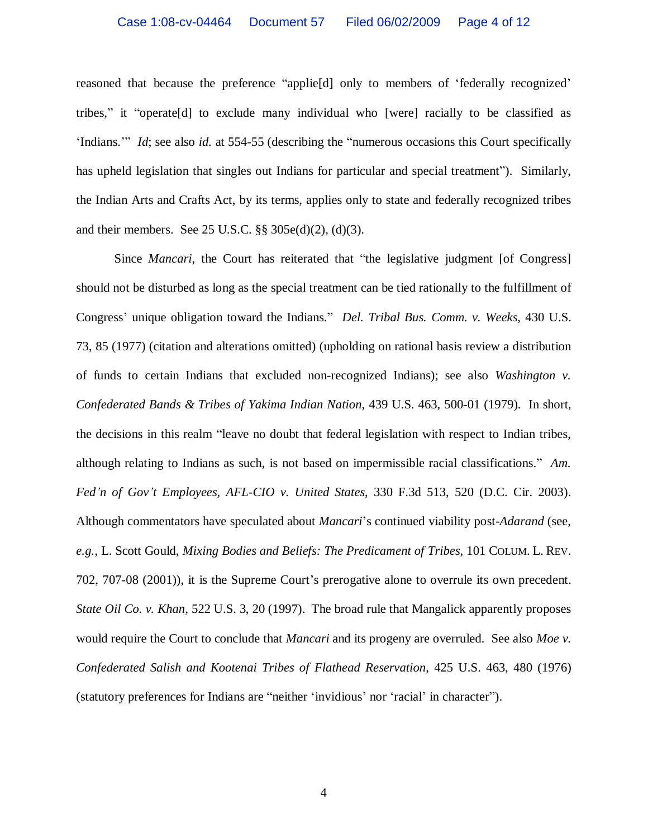reasoned that because the preference "applie[d] only to members of 'federally recognized' tribes," it "operate[d] to exclude many individual who [were] racially to be classified as 'Indians.'" *Id*; see also *id.* at 554-55 (describing the "numerous occasions this Court specifically has upheld legislation that singles out Indians for particular and special treatment"). Similarly, the Indian Arts and Crafts Act, by its terms, applies only to state and federally recognized tribes and their members. See 25 U.S.C. §§ 305e(d)(2), (d)(3).

Since *Mancari*, the Court has reiterated that "the legislative judgment [of Congress] should not be disturbed as long as the special treatment can be tied rationally to the fulfillment of Congress' unique obligation toward the Indians." *Del. Tribal Bus. Comm. v. Weeks*, 430 U.S. 73, 85 (1977) (citation and alterations omitted) (upholding on rational basis review a distribution of funds to certain Indians that excluded non-recognized Indians); see also *Washington v. Confederated Bands & Tribes of Yakima Indian Nation*, 439 U.S. 463, 500-01 (1979). In short, the decisions in this realm "leave no doubt that federal legislation with respect to Indian tribes, although relating to Indians as such, is not based on impermissible racial classifications." *Am. Fed'n of Gov't Employees, AFL-CIO v. United States*, 330 F.3d 513, 520 (D.C. Cir. 2003). Although commentators have speculated about *Mancari*'s continued viability post-*Adarand* (see, *e.g.*, L. Scott Gould, *Mixing Bodies and Beliefs: The Predicament of Tribes*, 101 COLUM. L. REV. 702, 707-08 (2001)), it is the Supreme Court's prerogative alone to overrule its own precedent. *State Oil Co. v. Khan*, 522 U.S. 3, 20 (1997). The broad rule that Mangalick apparently proposes would require the Court to conclude that *Mancari* and its progeny are overruled. See also *Moe v. Confederated Salish and Kootenai Tribes of Flathead Reservation*, 425 U.S. 463, 480 (1976) (statutory preferences for Indians are "neither 'invidious' nor 'racial' in character").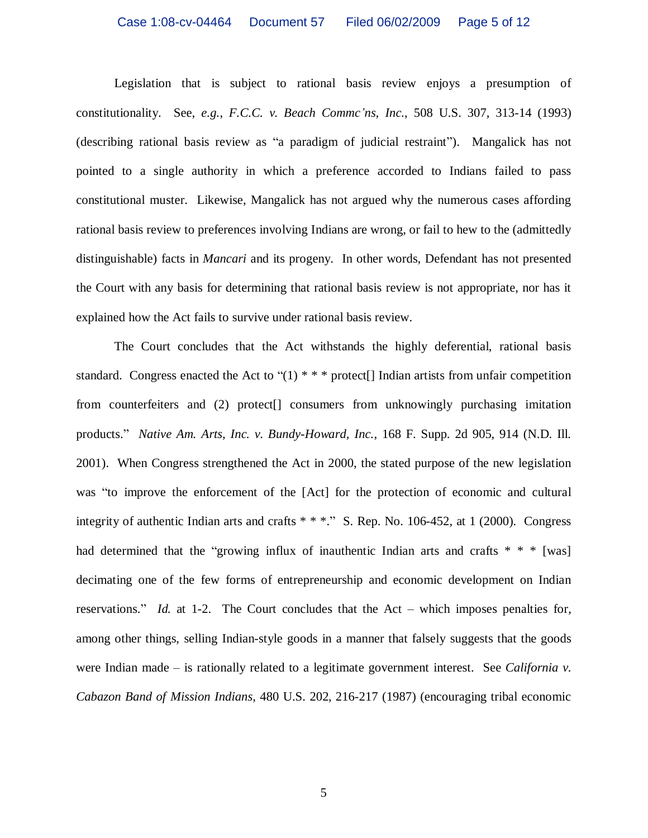Legislation that is subject to rational basis review enjoys a presumption of constitutionality. See, *e.g.*, *F.C.C. v. Beach Commc'ns, Inc.*, 508 U.S. 307, 313-14 (1993) (describing rational basis review as "a paradigm of judicial restraint"). Mangalick has not pointed to a single authority in which a preference accorded to Indians failed to pass constitutional muster. Likewise, Mangalick has not argued why the numerous cases affording rational basis review to preferences involving Indians are wrong, or fail to hew to the (admittedly distinguishable) facts in *Mancari* and its progeny. In other words, Defendant has not presented the Court with any basis for determining that rational basis review is not appropriate, nor has it explained how the Act fails to survive under rational basis review.

The Court concludes that the Act withstands the highly deferential, rational basis standard. Congress enacted the Act to " $(1)$  \* \* \* protect<sup>[]</sup> Indian artists from unfair competition from counterfeiters and (2) protect[] consumers from unknowingly purchasing imitation products." *Native Am. Arts, Inc. v. Bundy-Howard, Inc.*, 168 F. Supp. 2d 905, 914 (N.D. Ill. 2001). When Congress strengthened the Act in 2000, the stated purpose of the new legislation was "to improve the enforcement of the [Act] for the protection of economic and cultural integrity of authentic Indian arts and crafts \* \* \*." S. Rep. No. 106-452, at 1 (2000). Congress had determined that the "growing influx of inauthentic Indian arts and crafts  $* * *$  [was] decimating one of the few forms of entrepreneurship and economic development on Indian reservations." *Id.* at 1-2. The Court concludes that the Act – which imposes penalties for, among other things, selling Indian-style goods in a manner that falsely suggests that the goods were Indian made – is rationally related to a legitimate government interest. See *California v. Cabazon Band of Mission Indians*, 480 U.S. 202, 216-217 (1987) (encouraging tribal economic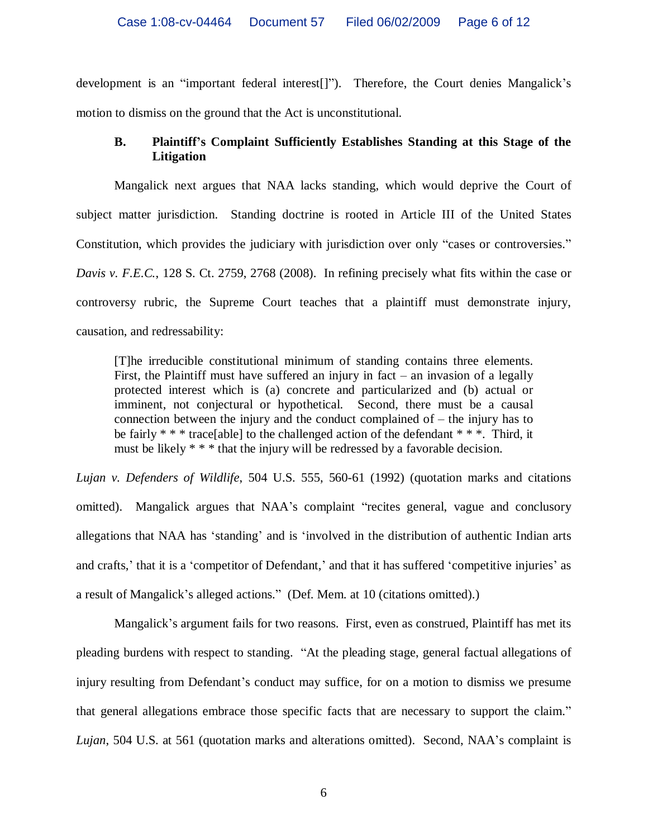development is an "important federal interest[]"). Therefore, the Court denies Mangalick's motion to dismiss on the ground that the Act is unconstitutional.

# **B. Plaintiff's Complaint Sufficiently Establishes Standing at this Stage of the Litigation**

Mangalick next argues that NAA lacks standing, which would deprive the Court of subject matter jurisdiction. Standing doctrine is rooted in Article III of the United States Constitution, which provides the judiciary with jurisdiction over only "cases or controversies." *Davis v. F.E.C.*, 128 S. Ct. 2759, 2768 (2008). In refining precisely what fits within the case or controversy rubric, the Supreme Court teaches that a plaintiff must demonstrate injury, causation, and redressability:

[T]he irreducible constitutional minimum of standing contains three elements. First, the Plaintiff must have suffered an injury in fact – an invasion of a legally protected interest which is (a) concrete and particularized and (b) actual or imminent, not conjectural or hypothetical. Second, there must be a causal connection between the injury and the conduct complained of – the injury has to be fairly  $***$  trace[able] to the challenged action of the defendant  $***$ . Third, it must be likely \* \* \* that the injury will be redressed by a favorable decision.

*Lujan v. Defenders of Wildlife*, 504 U.S. 555, 560-61 (1992) (quotation marks and citations omitted). Mangalick argues that NAA's complaint "recites general, vague and conclusory allegations that NAA has 'standing' and is 'involved in the distribution of authentic Indian arts and crafts,' that it is a 'competitor of Defendant,' and that it has suffered 'competitive injuries' as a result of Mangalick's alleged actions." (Def. Mem. at 10 (citations omitted).)

Mangalick's argument fails for two reasons. First, even as construed, Plaintiff has met its pleading burdens with respect to standing. "At the pleading stage, general factual allegations of injury resulting from Defendant's conduct may suffice, for on a motion to dismiss we presume that general allegations embrace those specific facts that are necessary to support the claim." *Lujan*, 504 U.S. at 561 (quotation marks and alterations omitted). Second, NAA's complaint is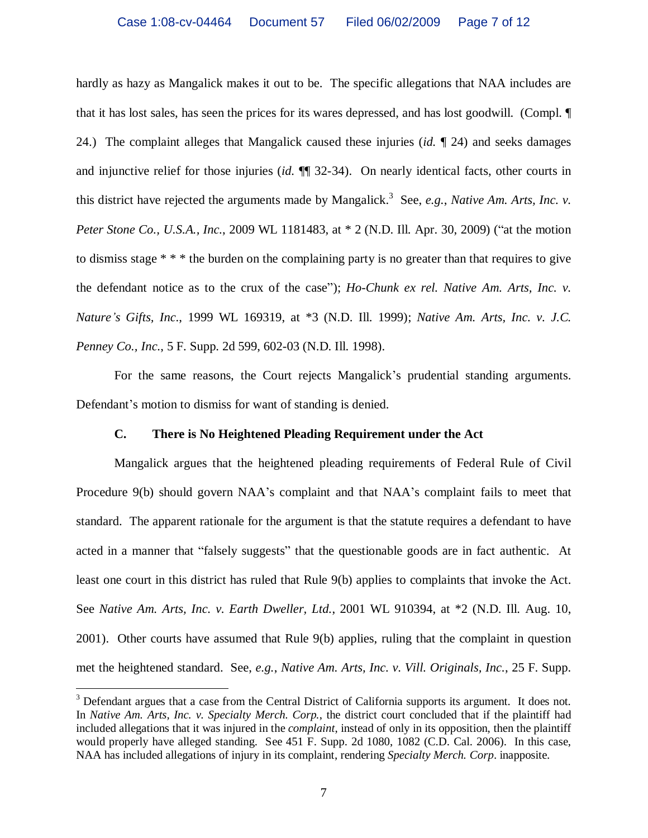hardly as hazy as Mangalick makes it out to be. The specific allegations that NAA includes are that it has lost sales, has seen the prices for its wares depressed, and has lost goodwill. (Compl. ¶ 24.) The complaint alleges that Mangalick caused these injuries (*id.* ¶ 24) and seeks damages and injunctive relief for those injuries (*id.* ¶¶ 32-34). On nearly identical facts, other courts in this district have rejected the arguments made by Mangalick.<sup>3</sup> See, *e.g.*, *Native Am. Arts, Inc. v. Peter Stone Co., U.S.A., Inc., 2009 WL 1181483, at*  $*$  2 (N.D. Ill. Apr. 30, 2009) ("at the motion to dismiss stage \* \* \* the burden on the complaining party is no greater than that requires to give the defendant notice as to the crux of the case"); *Ho-Chunk ex rel. Native Am. Arts, Inc. v. Nature's Gifts, Inc.*, 1999 WL 169319, at \*3 (N.D. Ill. 1999); *Native Am. Arts, Inc. v. J.C. Penney Co., Inc.*, 5 F. Supp. 2d 599, 602-03 (N.D. Ill. 1998).

For the same reasons, the Court rejects Mangalick's prudential standing arguments. Defendant's motion to dismiss for want of standing is denied.

## **C. There is No Heightened Pleading Requirement under the Act**

Mangalick argues that the heightened pleading requirements of Federal Rule of Civil Procedure 9(b) should govern NAA's complaint and that NAA's complaint fails to meet that standard. The apparent rationale for the argument is that the statute requires a defendant to have acted in a manner that "falsely suggests" that the questionable goods are in fact authentic. At least one court in this district has ruled that Rule 9(b) applies to complaints that invoke the Act. See *Native Am. Arts, Inc. v. Earth Dweller, Ltd.*, 2001 WL 910394, at \*2 (N.D. Ill. Aug. 10, 2001). Other courts have assumed that Rule 9(b) applies, ruling that the complaint in question met the heightened standard. See, *e.g.*, *Native Am. Arts, Inc. v. Vill. Originals, Inc.*, 25 F. Supp.

<sup>&</sup>lt;sup>3</sup> Defendant argues that a case from the Central District of California supports its argument. It does not. In *Native Am. Arts, Inc. v. Specialty Merch. Corp.*, the district court concluded that if the plaintiff had included allegations that it was injured in the *complaint*, instead of only in its opposition, then the plaintiff would properly have alleged standing. See 451 F. Supp. 2d 1080, 1082 (C.D. Cal. 2006). In this case, NAA has included allegations of injury in its complaint, rendering *Specialty Merch. Corp*. inapposite.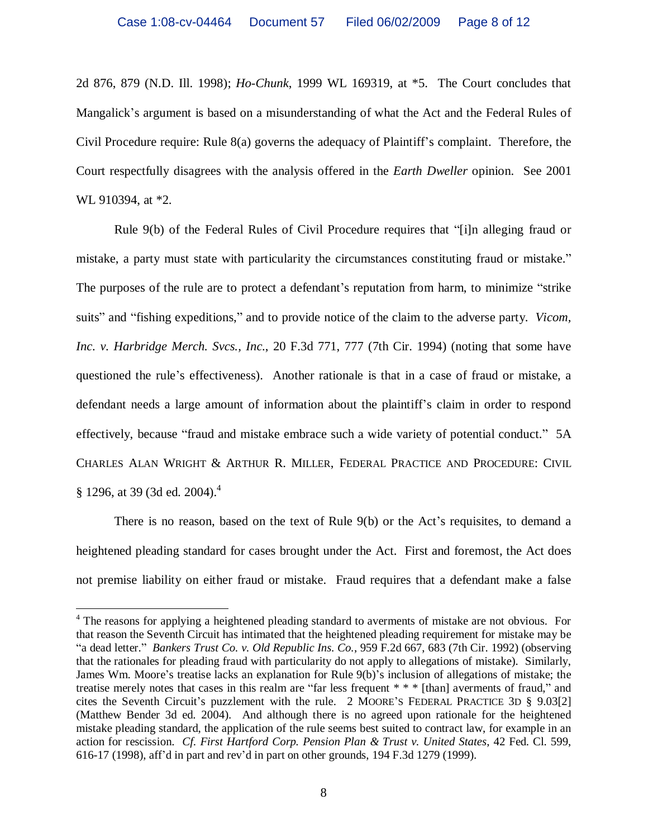2d 876, 879 (N.D. Ill. 1998); *Ho-Chunk*, 1999 WL 169319, at \*5. The Court concludes that Mangalick's argument is based on a misunderstanding of what the Act and the Federal Rules of Civil Procedure require: Rule 8(a) governs the adequacy of Plaintiff's complaint. Therefore, the Court respectfully disagrees with the analysis offered in the *Earth Dweller* opinion. See 2001 WL 910394, at  $*2$ .

Rule 9(b) of the Federal Rules of Civil Procedure requires that "[i]n alleging fraud or mistake, a party must state with particularity the circumstances constituting fraud or mistake." The purposes of the rule are to protect a defendant's reputation from harm, to minimize "strike suits" and "fishing expeditions," and to provide notice of the claim to the adverse party. *Vicom, Inc. v. Harbridge Merch. Svcs., Inc.*, 20 F.3d 771, 777 (7th Cir. 1994) (noting that some have questioned the rule's effectiveness). Another rationale is that in a case of fraud or mistake, a defendant needs a large amount of information about the plaintiff's claim in order to respond effectively, because "fraud and mistake embrace such a wide variety of potential conduct." 5A CHARLES ALAN WRIGHT & ARTHUR R. MILLER, FEDERAL PRACTICE AND PROCEDURE: CIVIL § 1296, at 39 (3d ed. 2004).<sup>4</sup>

There is no reason, based on the text of Rule 9(b) or the Act's requisites, to demand a heightened pleading standard for cases brought under the Act. First and foremost, the Act does not premise liability on either fraud or mistake. Fraud requires that a defendant make a false

<sup>&</sup>lt;sup>4</sup> The reasons for applying a heightened pleading standard to averments of mistake are not obvious. For that reason the Seventh Circuit has intimated that the heightened pleading requirement for mistake may be "a dead letter." *Bankers Trust Co. v. Old Republic Ins. Co.*, 959 F.2d 667, 683 (7th Cir. 1992) (observing that the rationales for pleading fraud with particularity do not apply to allegations of mistake). Similarly, James Wm. Moore's treatise lacks an explanation for Rule 9(b)'s inclusion of allegations of mistake; the treatise merely notes that cases in this realm are "far less frequent \* \* \* [than] averments of fraud," and cites the Seventh Circuit's puzzlement with the rule. 2 MOORE'S FEDERAL PRACTICE 3D § 9.03[2] (Matthew Bender 3d ed. 2004). And although there is no agreed upon rationale for the heightened mistake pleading standard, the application of the rule seems best suited to contract law, for example in an action for rescission. *Cf. First Hartford Corp. Pension Plan & Trust v. United States*, 42 Fed. Cl. 599, 616-17 (1998), aff'd in part and rev'd in part on other grounds, 194 F.3d 1279 (1999).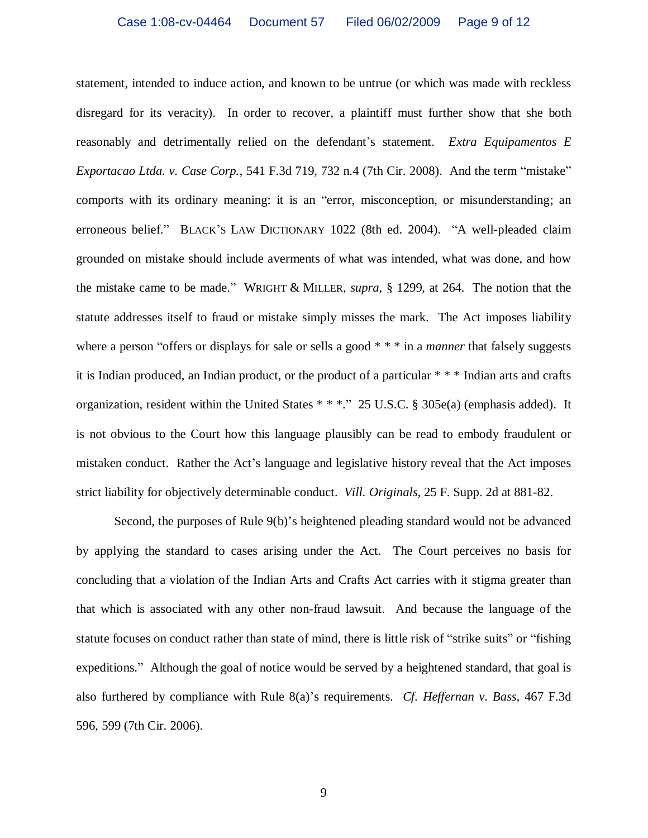statement, intended to induce action, and known to be untrue (or which was made with reckless disregard for its veracity). In order to recover, a plaintiff must further show that she both reasonably and detrimentally relied on the defendant's statement. *Extra Equipamentos E Exportacao Ltda. v. Case Corp.*, 541 F.3d 719, 732 n.4 (7th Cir. 2008). And the term "mistake" comports with its ordinary meaning: it is an "error, misconception, or misunderstanding; an erroneous belief." BLACK'S LAW DICTIONARY 1022 (8th ed. 2004). "A well-pleaded claim grounded on mistake should include averments of what was intended, what was done, and how the mistake came to be made."WRIGHT & MILLER, *supra*, § 1299, at 264. The notion that the statute addresses itself to fraud or mistake simply misses the mark. The Act imposes liability where a person "offers or displays for sale or sells a good  $**$  in a *manner* that falsely suggests it is Indian produced, an Indian product, or the product of a particular \* \* \* Indian arts and crafts organization, resident within the United States \* \* \*." 25 U.S.C. § 305e(a) (emphasis added). It is not obvious to the Court how this language plausibly can be read to embody fraudulent or mistaken conduct. Rather the Act's language and legislative history reveal that the Act imposes strict liability for objectively determinable conduct. *Vill. Originals*, 25 F. Supp. 2d at 881-82.

Second, the purposes of Rule 9(b)'s heightened pleading standard would not be advanced by applying the standard to cases arising under the Act. The Court perceives no basis for concluding that a violation of the Indian Arts and Crafts Act carries with it stigma greater than that which is associated with any other non-fraud lawsuit. And because the language of the statute focuses on conduct rather than state of mind, there is little risk of "strike suits" or "fishing expeditions." Although the goal of notice would be served by a heightened standard, that goal is also furthered by compliance with Rule 8(a)'s requirements. *Cf. Heffernan v. Bass*, 467 F.3d 596, 599 (7th Cir. 2006).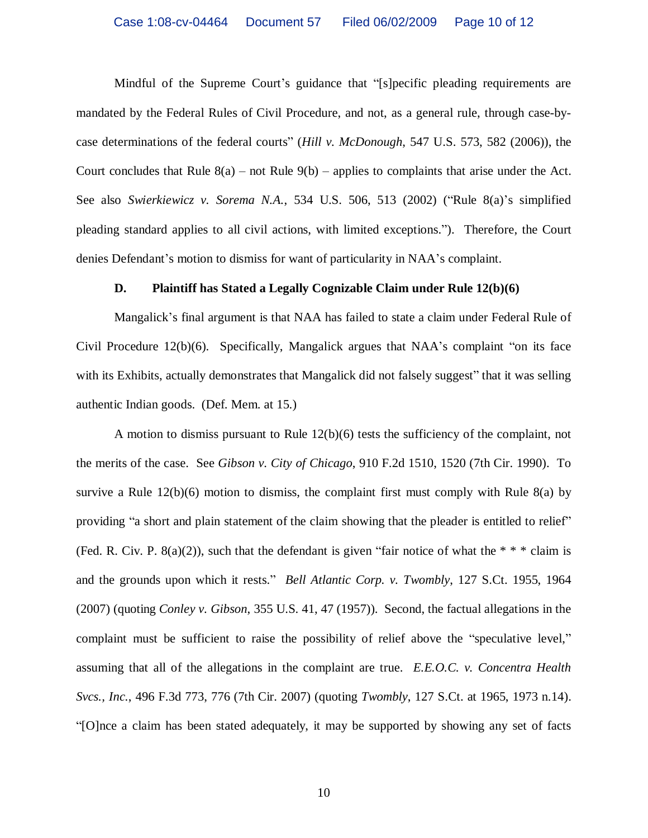Mindful of the Supreme Court's guidance that "[s]pecific pleading requirements are mandated by the Federal Rules of Civil Procedure, and not, as a general rule, through case-bycase determinations of the federal courts"(*Hill v. McDonough*, 547 U.S. 573, 582 (2006)), the Court concludes that Rule  $8(a)$  – not Rule  $9(b)$  – applies to complaints that arise under the Act. See also *Swierkiewicz v. Sorema N.A.*, 534 U.S. 506, 513 (2002) ("Rule 8(a)'s simplified pleading standard applies to all civil actions, with limited exceptions."). Therefore, the Court denies Defendant's motion to dismiss for want of particularity in NAA's complaint.

#### **D. Plaintiff has Stated a Legally Cognizable Claim under Rule 12(b)(6)**

Mangalick's final argument is that NAA has failed to state a claim under Federal Rule of Civil Procedure 12(b)(6). Specifically, Mangalick argues that NAA's complaint "on its face with its Exhibits, actually demonstrates that Mangalick did not falsely suggest" that it was selling authentic Indian goods. (Def. Mem. at 15.)

A motion to dismiss pursuant to Rule 12(b)(6) tests the sufficiency of the complaint, not the merits of the case. See *Gibson v. City of Chicago*, 910 F.2d 1510, 1520 (7th Cir. 1990). To survive a Rule  $12(b)(6)$  motion to dismiss, the complaint first must comply with Rule 8(a) by providing "a short and plain statement of the claim showing that the pleader is entitled to relief" (Fed. R. Civ. P. 8(a)(2)), such that the defendant is given "fair notice of what the  $* * *$  claim is and the grounds upon which it rests." *Bell Atlantic Corp. v. Twombly*, 127 S.Ct. 1955, 1964 (2007) (quoting *Conley v. Gibson*, 355 U.S. 41, 47 (1957)). Second, the factual allegations in the complaint must be sufficient to raise the possibility of relief above the "speculative level," assuming that all of the allegations in the complaint are true. *E.E.O.C. v. Concentra Health Svcs., Inc.*, 496 F.3d 773, 776 (7th Cir. 2007) (quoting *Twombly*, 127 S.Ct. at 1965, 1973 n.14). "[O]nce a claim has been stated adequately, it may be supported by showing any set of facts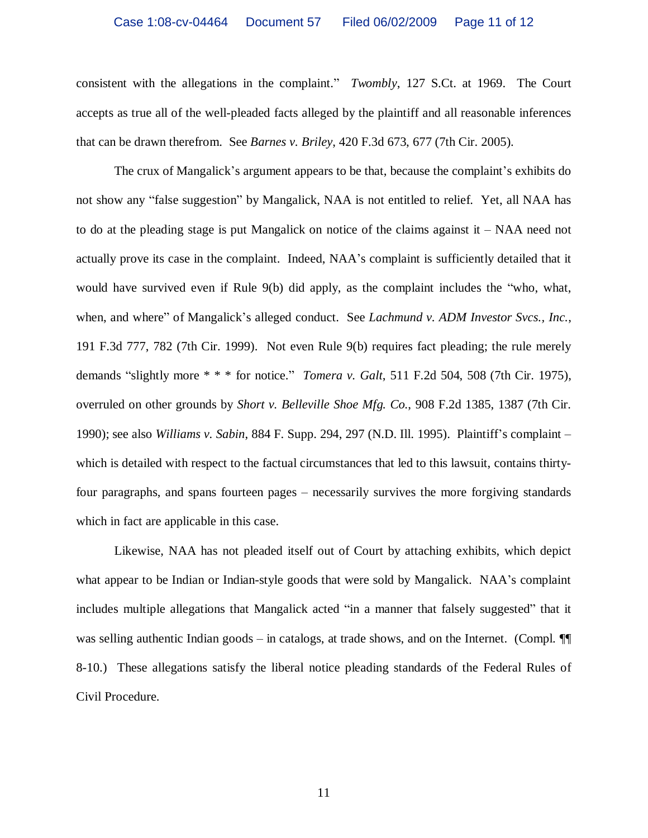consistent with the allegations in the complaint." *Twombly*, 127 S.Ct. at 1969. The Court accepts as true all of the well-pleaded facts alleged by the plaintiff and all reasonable inferences that can be drawn therefrom. See *Barnes v. Briley*, 420 F.3d 673, 677 (7th Cir. 2005).

The crux of Mangalick's argument appears to be that, because the complaint's exhibits do not show any "false suggestion" by Mangalick, NAA is not entitled to relief. Yet, all NAA has to do at the pleading stage is put Mangalick on notice of the claims against it – NAA need not actually prove its case in the complaint. Indeed, NAA's complaint is sufficiently detailed that it would have survived even if Rule 9(b) did apply, as the complaint includes the "who, what, when, and where" of Mangalick's alleged conduct. See *Lachmund v. ADM Investor Svcs., Inc.*, 191 F.3d 777, 782 (7th Cir. 1999). Not even Rule 9(b) requires fact pleading; the rule merely demands "slightly more \* \* \* for notice." *Tomera v. Galt*, 511 F.2d 504, 508 (7th Cir. 1975), overruled on other grounds by *Short v. Belleville Shoe Mfg. Co.*, 908 F.2d 1385, 1387 (7th Cir. 1990); see also *Williams v. Sabin*, 884 F. Supp. 294, 297 (N.D. Ill. 1995). Plaintiff's complaint – which is detailed with respect to the factual circumstances that led to this lawsuit, contains thirtyfour paragraphs, and spans fourteen pages – necessarily survives the more forgiving standards which in fact are applicable in this case.

Likewise, NAA has not pleaded itself out of Court by attaching exhibits, which depict what appear to be Indian or Indian-style goods that were sold by Mangalick. NAA's complaint includes multiple allegations that Mangalick acted "in a manner that falsely suggested" that it was selling authentic Indian goods – in catalogs, at trade shows, and on the Internet. (Compl.  $\P$ 8-10.) These allegations satisfy the liberal notice pleading standards of the Federal Rules of Civil Procedure.